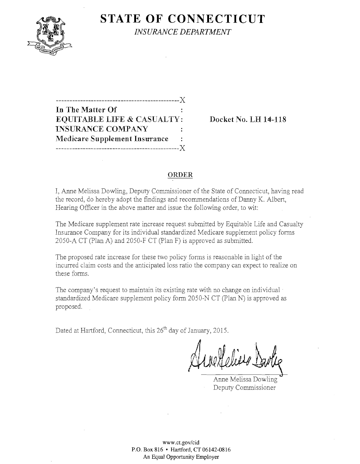

**STATE OF CONNECTICUT** 

*INSURANCE DEPARTMENT* 

| --------------------------------X    |   |
|--------------------------------------|---|
| In The Matter Of                     |   |
| EQUITABLE LIFE & CASUALTY:           |   |
| <b>INSURANCE COMPANY</b>             |   |
| <b>Medicare Supplement Insurance</b> | ÷ |
|                                      |   |

**EQUIRE PO. LH 14-118** 

## **ORDER**

I, Anne Melissa Dowling, Deputy Commissioner of the State of Connecticut, having read the record, do hereby adopt the findings and recommendations of Danny K. Albert, Hearing Officer in the above matter and issue the following order, to wit:

The Medicare supplement rate increase request submitted by Equitable Life and Casualty Insurance Company for its individual standardized Medicare supplement policy forms 2050-A CT (Plan A) and 2050-F CT (plan F) is approved as submitted.

The proposed rate increase for these two policy forms is reasonable in light of the incurred claim costs and the anticipated loss ratio the company can expect to realize on these forms.

The company's request to maintain its existing rate with no change on individual : standardized Medicare supplement policy form 2050-N CT (Plan N) is approved as proposed.

Dated at Hartford, Connecticut, this 26<sup>th</sup> day of January, 2015.

Anne Heliers Davlie

Anne Melissa Dowling Deputy Commissioner

**www.ct.gov/cid P.O. Box 816 • Hartford, CT 06142-0816 An Equal Opportunity Employer**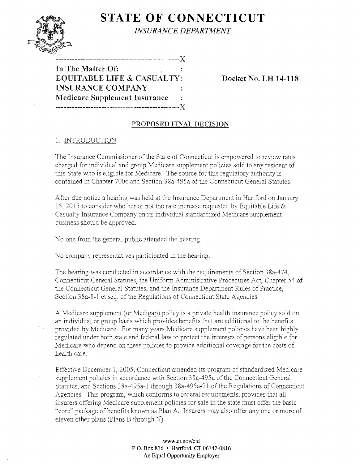# **STATE OF CONNECTICUT**



*INSURANCE DEPARTMENT* 

-------------------X

**In The Matter Of: EQUITABLE LIFE & CASUALTY: Docket No. LH 14-118 INSURANCE COMPANY Medicare Supplement Insurance**  ---------------------------------------------~)(

### **PROPOSED FINAL DECISION**

### 1. INTRODUCTION

The Insurance Commissioner of the State of Connecticut is empowered to review rates charged for individual and group Medicare supplement policies sold to any resident of this State who is eligible for Medicare. The source for this regulatory authority is contained in Chapter 700c and Section 38a-495a of the Connecticut General Statutes.

After due notice a hearing was held at the Insurance Department in Hartford on January 15, 2015 to consider whether or not the rate increase requested by Equitable Life  $\&$ Casualty Insurance Company on its individual standardized Medicare supplement business should be approved.

No one from the general public attended the hearing.

No company representatives participated in the hearing.

The hearing was conducted in accordance with the requirements of Section 38a-474, Connecticut General Statutes, the Uniform Administrative Procedures Act, Chapter 54 of the Connecticut General Statutes, and the Insurance Department Rules of Practice, Section 38a-8-1 et seq. of the Regulations of Connecticut State Agencies.

A Medicare supplement (or Medigap) policy is a private health insurance policy sold on an individual or group basis which provides benefits that are additional to the benefits provided by Medicare. For many years Medicare supplement policies have been highly regulated under both state and federal law to protect the interests of persons eligible for Medicare who depend on these policies to provide additional coverage for the costs of health care.

Effective December 1,2005, Connecticut amended its program of standardized Medicare supplement policies in accordance with Section 38a-495a of the Connecticut General Statutes, and Sections 38a-495a-l through 38a-495a-21 of the Regulations of Connecticut Agencies. This program, which conforms to federal requirements, provides that all insurers offering Medicare supplement policies for sale in the state must offer the basic "core" package of benefits known as Plan A. Insurers may also offer anyone or more of eleven other plans (plans B through N).

> **www.ct.gov/cid P.O. Box 816 • Hartford, CT06142-0816 An Equal Opportunity Employer**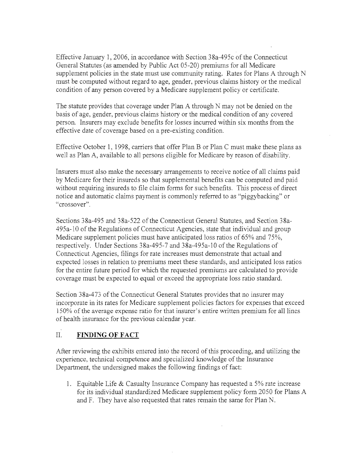Effective January 1,2006, in accordance with Section 38a-495c of the Connecticut General Statutes (as amended by Public Act 05-20) premiums for all Medicare supplement policies in the state must use community rating. Rates for Plans A through N must be computed without regard to age, gender, previous claims history or the medical condition of any person covered by a Medicare supplement policy or certificate.

The statute provides that coverage under Plan A through N may not be denied on the basis of age, gender, previous claims history or the medical condition of any covered person. Insurers may exclude benefits for losses incurred within six months from the effective date of coverage based on a pre-existing condition.

Effective October 1, 1998, carriers that offer Plan B or Plan C must make these plans as well as Plan A, available to all persons eligible for Medicare by reason of disability.

Insurers must also make the necessary arrangements to receive notice of all claims paid by Medicare for their insureds so that supplemental benefits can be computed and paid without requiring insureds to file claim forms for such benefits. This process of direct notice and automatic claims payment is commonly referred to as "piggybacking" or "crossover".

Sections 38a-495 and 38a-522 of the Connecticut General Statutes, and Section 38a-495a-lO of the Regulations of Connecticut Agencies, state that individual and group Medicare supplement policies must have anticipated loss ratios of 65% and 75%, respectively. Under Sections 38a-495-7 and 38a-495a-10 of the Regulations of Connecticut Agencies, filings for rate increases must demonstrate that actual and expected losses in relation to premiums meet these standards, and anticipated loss ratios for the entire future period for which the requested premiums are calculated to provide coverage must be expected to equal or exceed the appropriate loss ratio standard.

Section 38a-473 of the Connecticut General Statutes provides that no insurer may incorporate in its rates for Medicare supplement policies factors for expenses that exceed 150% of the average expense ratio for that insurer's entire written premium for all lines of health insurance for the previous calendar year.

# II. **FINDING OF FACT**

After reviewing the exhibits entered into the record of this proceeding, and utilizing the experience, technical competence and specialized knowledge of the Insurance Department, the undersigned makes the following findings of fact:

1. Equitable Life & Casualty Insurance Company has requested a  $5\%$  rate increase for its individual standardized Medicare supplement policy form 2050 for Plans A and F. They have also requested that rates remain the same for Plan N.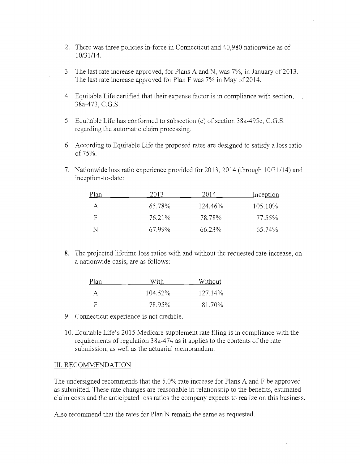- 2. There was three policies in-force in Connecticut and 40,980 nationwide as of 10/31/14.
- 3. The last rate increase approved, for Plans A and N, was 7%, in January of 2013. The last rate increase approved for Plan F was 7% in May of 2014.
- 4. Equitable Life certified that their expense factor is in compliance with section. 38a-473, C.G.S.
- 5. Equitable Life has conformed to subsection (e) of section 38a-495c, C.G.S. regarding the automatic claim processing.
- 6. According to Equitable Life the proposed rates are designed to satisfy a loss ratio of75%.
- 7. Nationwide loss ratio experience provided for 2013, 2014 (through 10/31/14) and inception-to-date:

| Plan | 2013   | 2014    | Inception |
|------|--------|---------|-----------|
| A    | 65.78% | 124.46% | 105.10%   |
| F    | 76.21% | 78.78%  | 77.55%    |
| N    | 67.99% | 66.23%  | 65.74%    |

8. The projected lifetime loss ratios with and without the requested rate increase, on a nationwide basis, are as follows:

| Plan     | With    | Without    |
|----------|---------|------------|
| $\Delta$ | 104.52% | $127.14\%$ |
| - F      | 78.95%  | 81.70%     |

- 9. Connecticut experience is not credible.
- 10. Equitable Life's 2015 Medicare supplement rate filing is in compliance with the requirements of regulation 38a-474 as it applies to the contents of the rate submission, as well as the actuarial memorandum.

#### III. RECOMMENDATION

The undersigned recommends that the 5.0% rate increase for Plans A and F be approved as submitted. These rate changes are reasonable in relationship to the benefits, estimated claim costs and the anticipated loss ratios the company expects to realize on this business.

Also recommend that the rates for Plan N remain the same as requested.